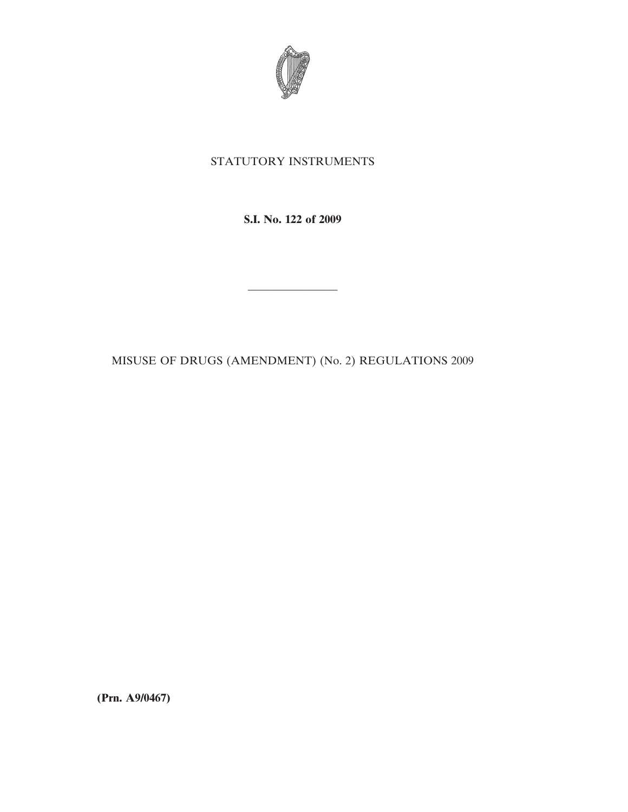

## STATUTORY INSTRUMENTS

**S.I. No. 122 of 2009**

MISUSE OF DRUGS (AMENDMENT) (No. 2) REGULATIONS 2009

————————

**(Prn. A9/0467)**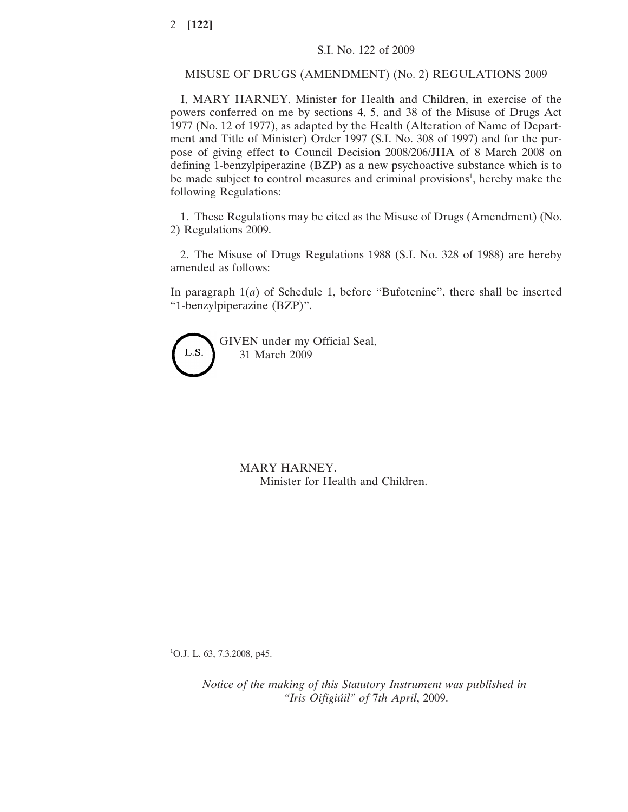## MISUSE OF DRUGS (AMENDMENT) (No. 2) REGULATIONS 2009

I, MARY HARNEY, Minister for Health and Children, in exercise of the powers conferred on me by sections 4, 5, and 38 of the Misuse of Drugs Act 1977 (No. 12 of 1977), as adapted by the Health (Alteration of Name of Department and Title of Minister) Order 1997 (S.I. No. 308 of 1997) and for the purpose of giving effect to Council Decision 2008/206/JHA of 8 March 2008 on defining 1-benzylpiperazine (BZP) as a new psychoactive substance which is to be made subject to control measures and criminal provisions<sup>1</sup>, hereby make the following Regulations:

1. These Regulations may be cited as the Misuse of Drugs (Amendment) (No. 2) Regulations 2009.

2. The Misuse of Drugs Regulations 1988 (S.I. No. 328 of 1988) are hereby amended as follows:

In paragraph 1(*a*) of Schedule 1, before "Bufotenine", there shall be inserted "1-benzylpiperazine (BZP)".

GIVEN under my Official Seal, L.S. 31 March 2009

> MARY HARNEY. Minister for Health and Children.

1 O.J. L. 63, 7.3.2008, p45.

*Notice of the making of this Statutory Instrument was published in "Iris Oifigiu´il" of* 7*th April*, 2009.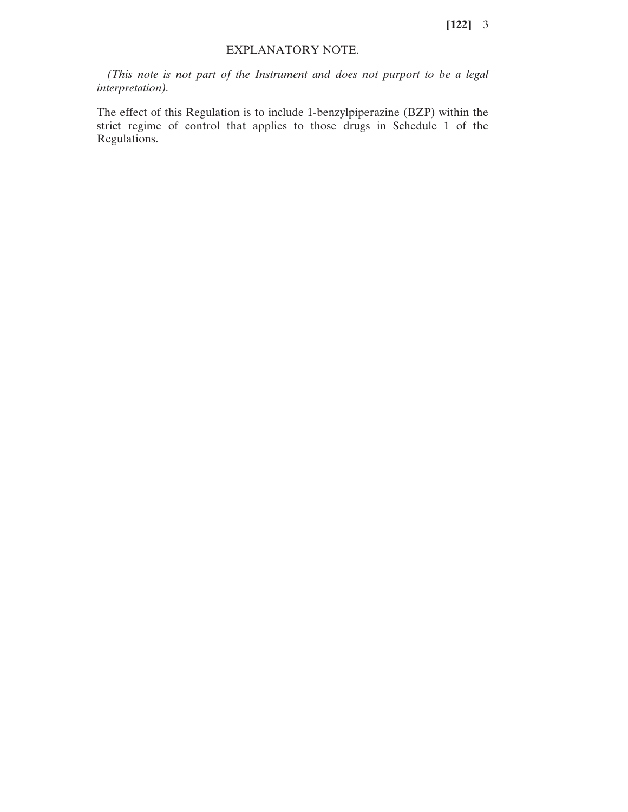**[122]** 3

## EXPLANATORY NOTE.

*(This note is not part of the Instrument and does not purport to be a legal interpretation).*

The effect of this Regulation is to include 1-benzylpiperazine (BZP) within the strict regime of control that applies to those drugs in Schedule 1 of the Regulations.